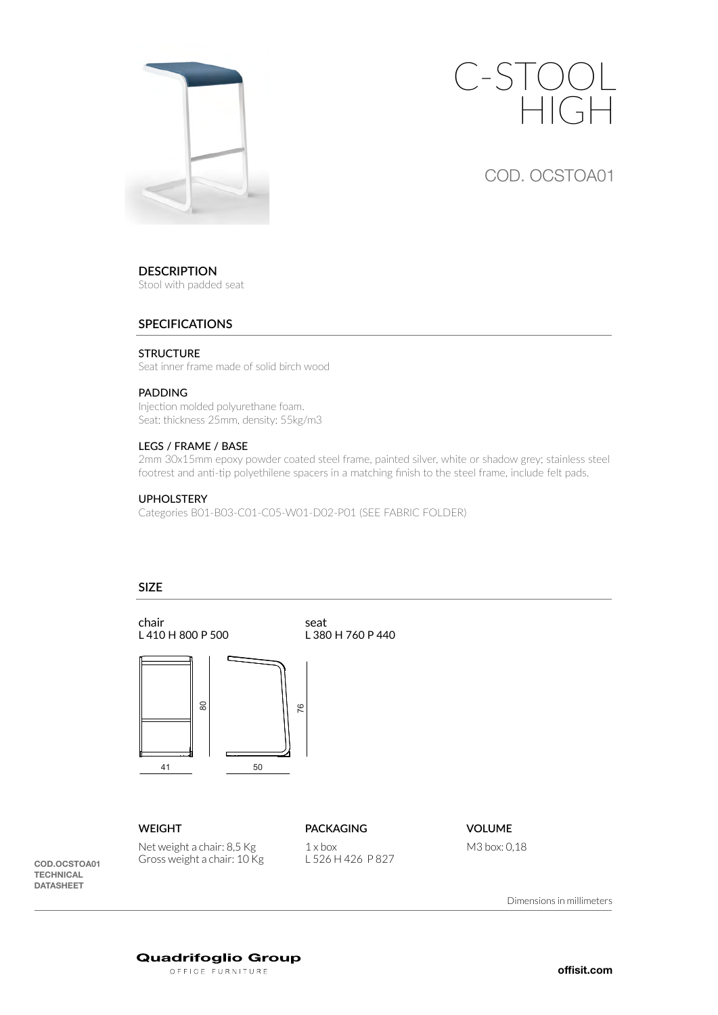



COD. OCSTOA01

# **DESCRIPTION**

Stool with padded seat

# **SPECIFICATIONS**

## **STRUCTURE**

Seat inner frame made of solid birch wood

### PADDING

Injection molded polyurethane foam. Seat: thickness 25mm, density: 55kg/m3

# LEGS / FRAME / BASE

2mm 30x15mm epoxy powder coated steel frame, painted silver, white or shadow grey; stainless steel footrest and anti-tip polyethilene spacers in a matching finish to the steel frame, include felt pads.

# UPHOLSTERY

Categories B01-B03-C01-C05-W01-D02-P01 (SEE FABRIC FOLDER)

# **SIZE**



COD.OCSTOA01 **TECHNICAL** DATASHEET

Dimensions in millimeters